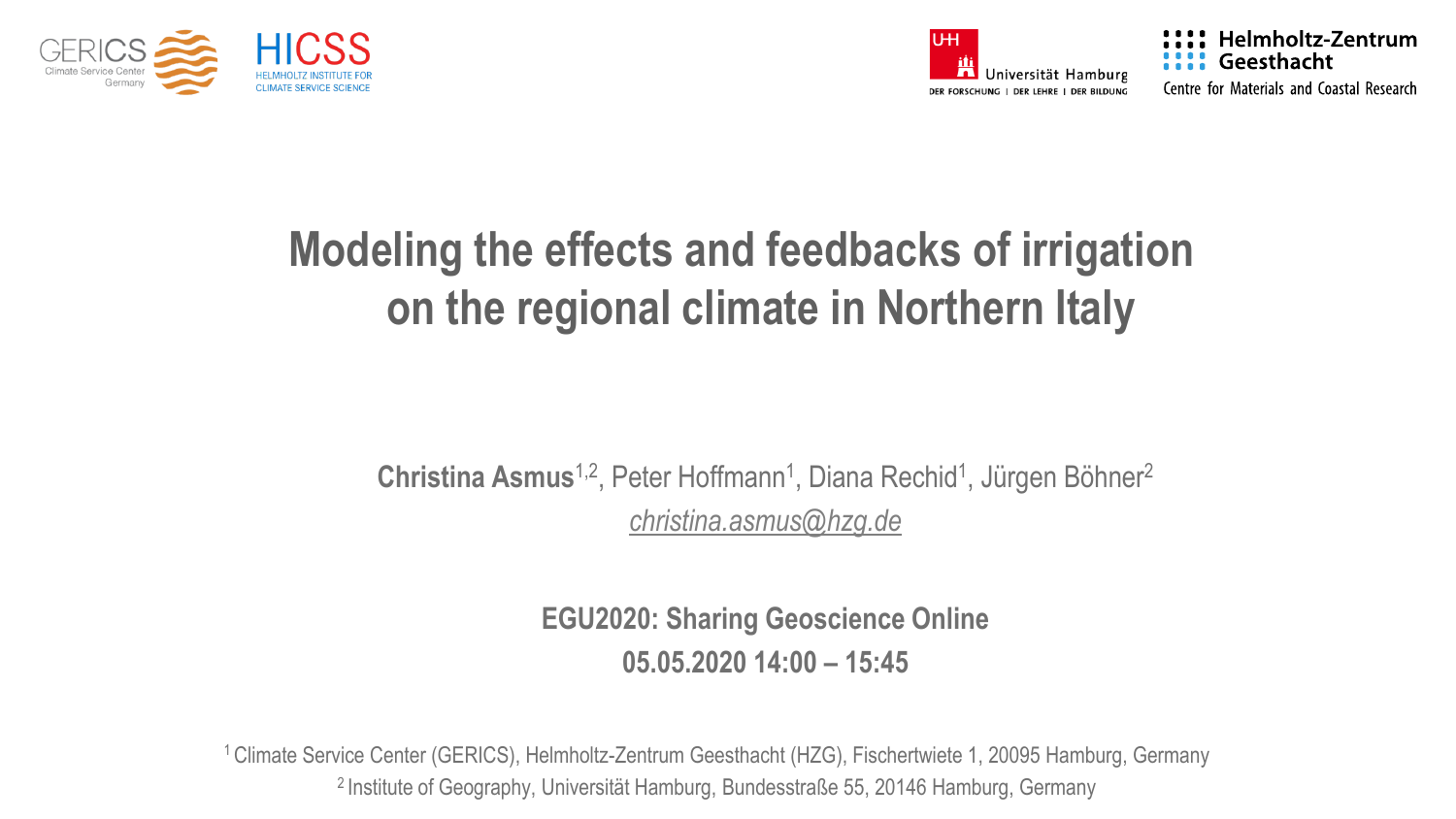



**Helmholtz-Zentrum** Geesthacht Centre for Materials and Coastal Research

### In the regional climate in Northern **Modeling the effects and feedbacks of irrigation on the regional climate in Northern Italy**

### **Christina Asmus**<sup>1,2</sup>, Peter Hoffmann<sup>1</sup>, Diana Rechid<sup>1</sup>, Jürgen Böhner<sup>2</sup> *[christina.asmus@hzg.de](mailto:christina.asmus@hzg.de)*

**EGU2020: Sharing Geoscience Online 05.05.2020 14:00 – 15:45**

<sup>1</sup>Climate Service Center (GERICS), Helmholtz-Zentrum Geesthacht (HZG), Fischertwiete 1, 20095 Hamburg, Germany <sup>2</sup> Institute of Geography, Universität Hamburg, Bundesstraße 55, 20146 Hamburg, Germany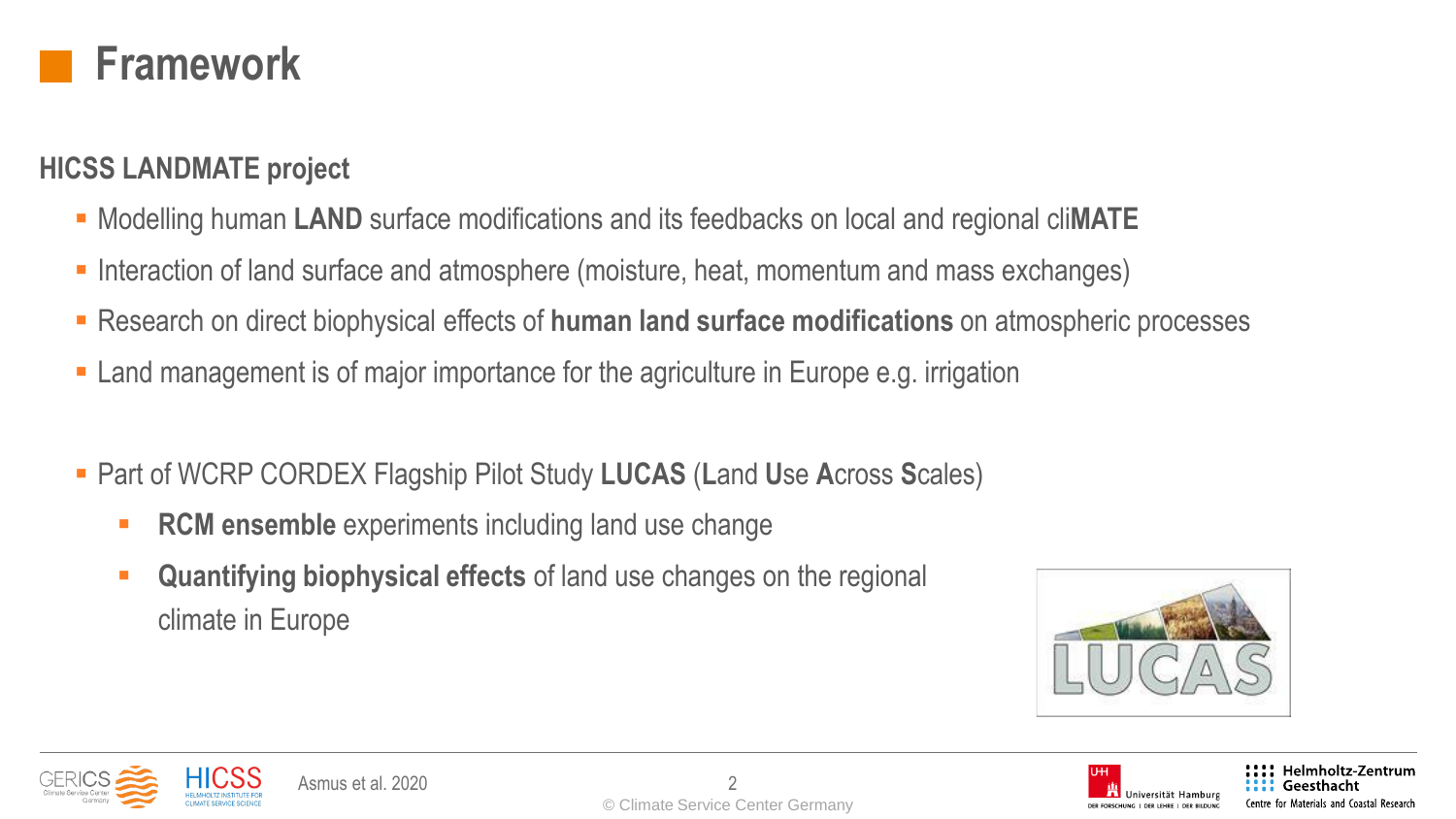

#### **HICSS LANDMATE project**

- Modelling human **LAND** surface modifications and its feedbacks on local and regional cli**MATE**
- Interaction of land surface and atmosphere (moisture, heat, momentum and mass exchanges)
- Research on direct biophysical effects of **human land surface modifications** on atmospheric processes
- Land management is of major importance for the agriculture in Europe e.g. irrigation
- Part of WCRP CORDEX Flagship Pilot Study **LUCAS** (**L**and **U**se **A**cross **S**cales)
	- **RCM ensemble** experiments including land use change
	- **Quantifying biophysical effects** of land use changes on the regional climate in Europe







**Helmholtz-Zentrum** Geesthacht Centre for Materials and Coastal Research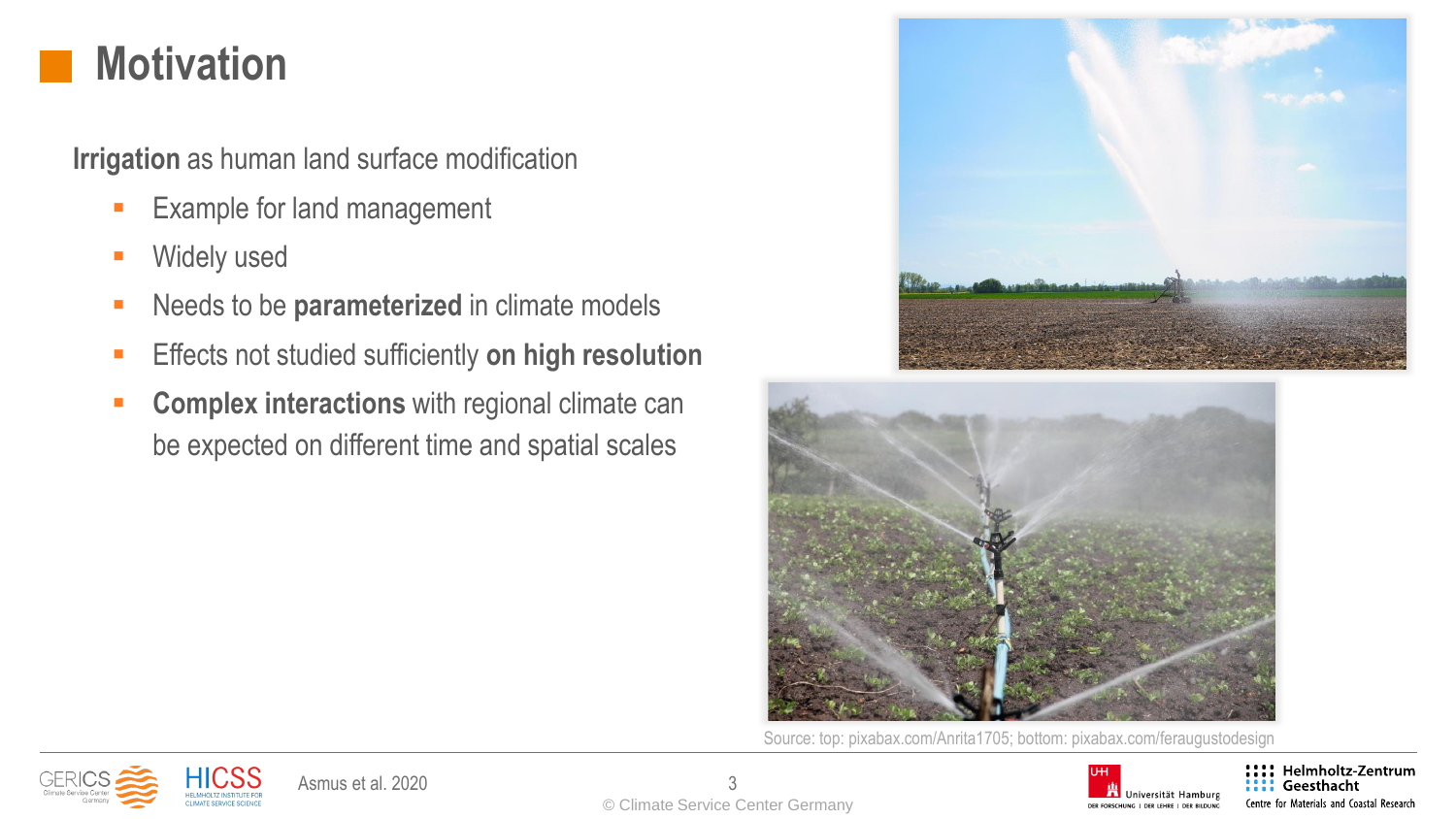## **Motivation**

**Irrigation** as human land surface modification

- Example for land management
- **■** Widely used
- Needs to be **parameterized** in climate models
- **Effects not studied sufficiently on high resolution**
- **EXECOMPLEX interactions** with regional climate can be expected on different time and spatial scales





Source: top: pixabax.com/Anrita1705; bottom: pixabax.com/feraugustodesign







:::: Helmholtz-Zentrum Geesthacht Centre for Materials and Coastal Research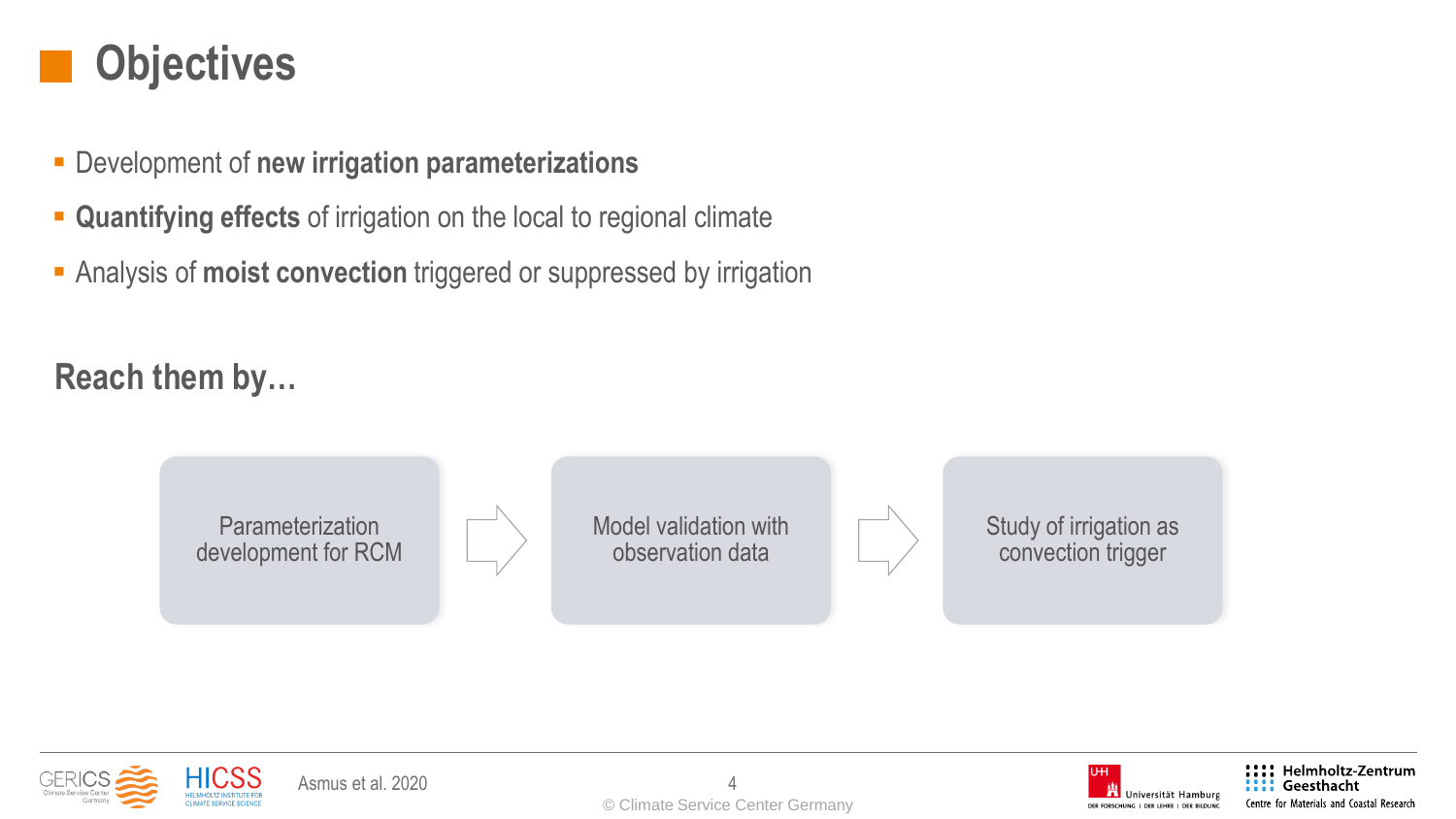### **Objectives**

- Development of **new irrigation parameterizations**
- **EXECTE:** Quantifying effects of irrigation on the local to regional climate
- **EXADED Analysis of moist convection** triggered or suppressed by irrigation

### **Reach them by…**

**Parameterization** development for RCM Model validation with observation data Study of irrigation as convection trigger



Asmus et al. 2020



!!!! Helmholtz-Zentrum Geesthacht Centre for Materials and Coastal Research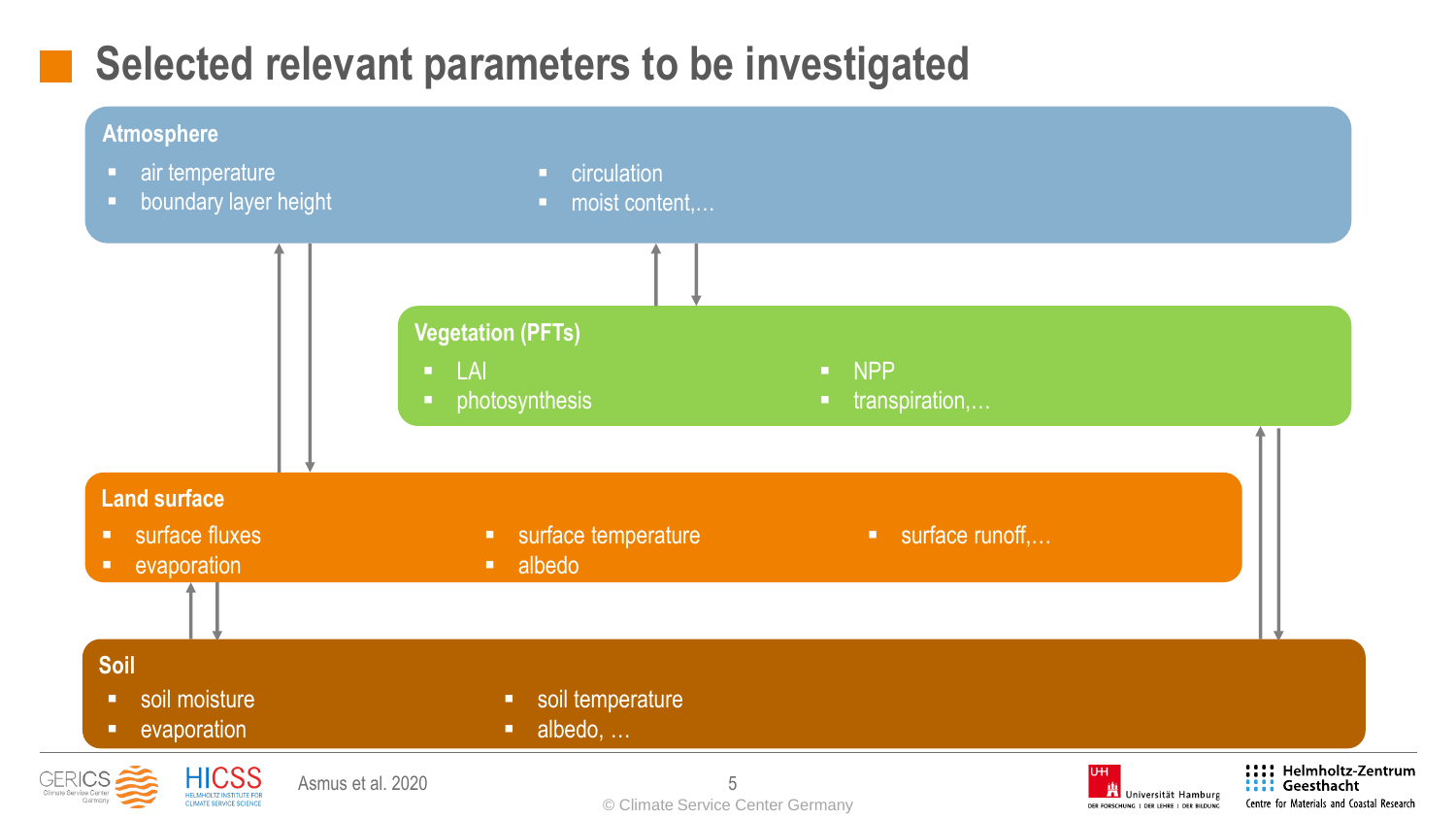## **Selected relevant parameters to be investigated**

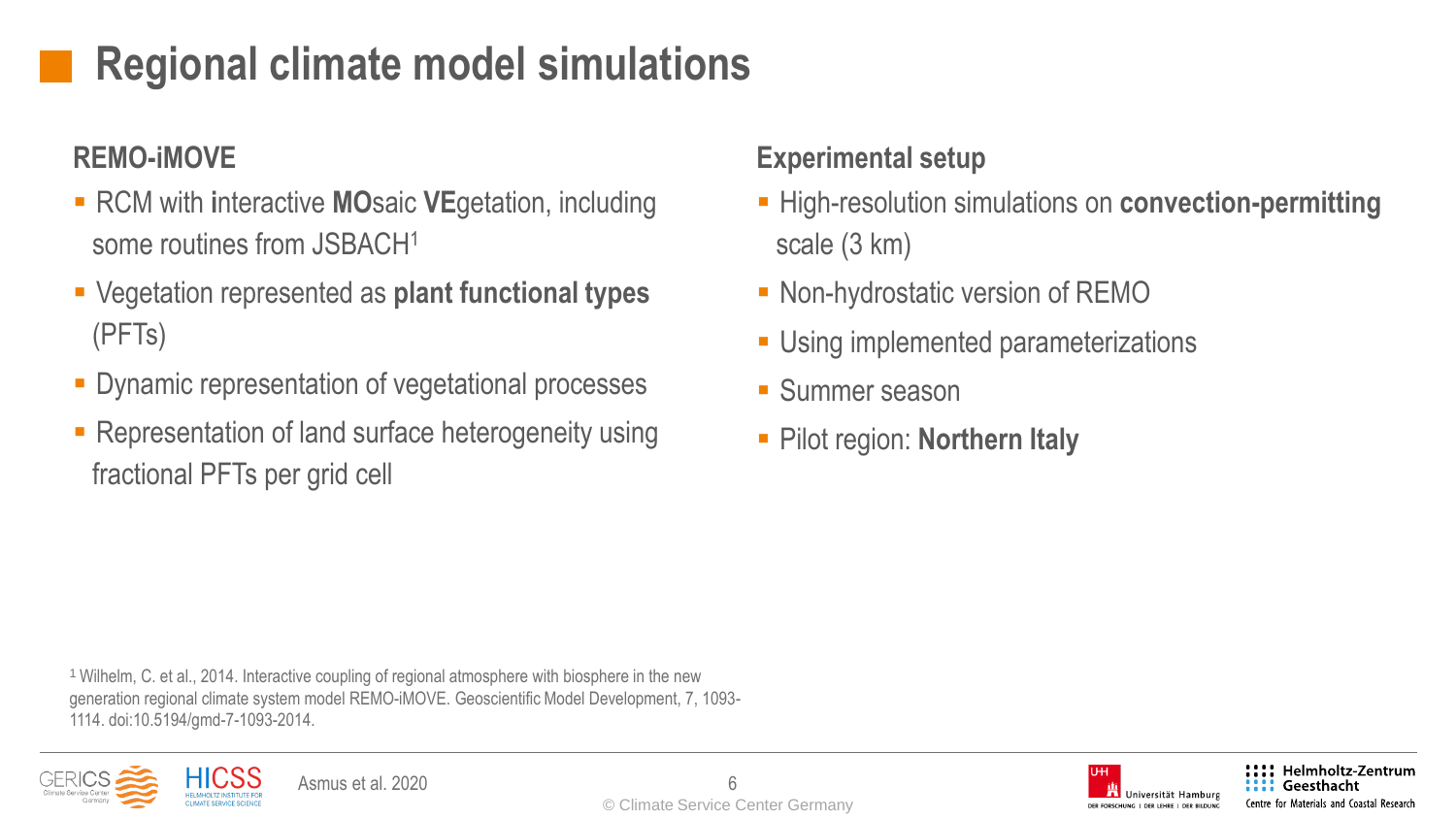# **Regional climate model simulations**

### **REMO-iMOVE**

- RCM with interactive **MO**saic VEgetation, including some routines from JSBACH<sup>1</sup>
- Vegetation represented as **plant functional types** (PFTs)
- **Dynamic representation of vegetational processes**
- Representation of land surface heterogeneity using fractional PFTs per grid cell

#### **Experimental setup**

- **EXA)** High-resolution simulations on **convection-permitting** scale (3 km)
- Non-hydrostatic version of REMO
- **E** Using implemented parameterizations
- Summer season
- Pilot region: **Northern Italy**

<sup>1</sup> Wilhelm, C. et al., 2014. Interactive coupling of regional atmosphere with biosphere in the new generation regional climate system model REMO-iMOVE. Geoscientific Model Development, 7, 1093- 1114. doi:10.5194/gmd-7-1093-2014.



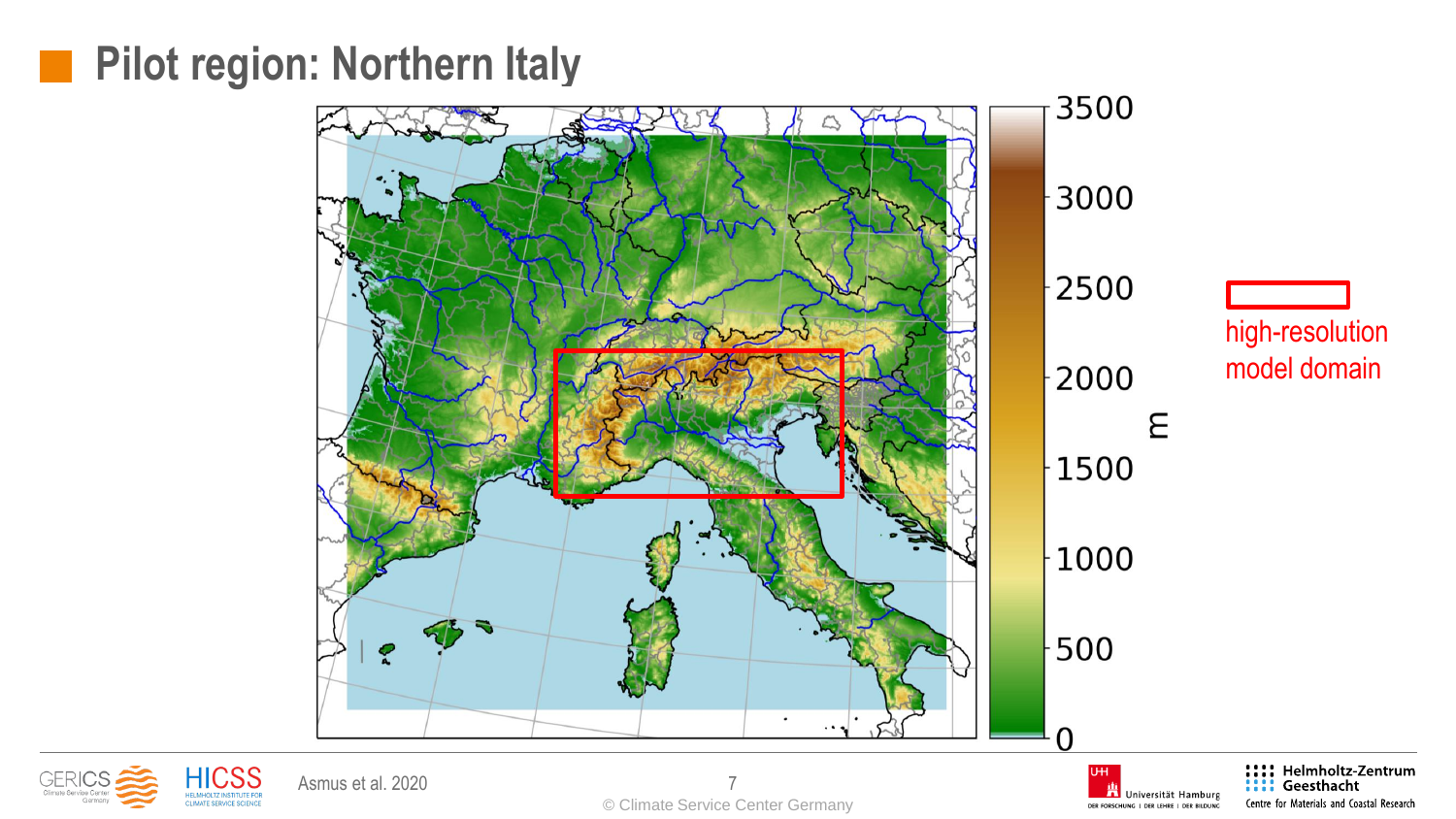### **Pilot region: Northern Italy**





**The Universität Hamburg** DER FORSCHUNG | DER LEHRE | DER BILDUNG

Centre for Materials and Coastal Research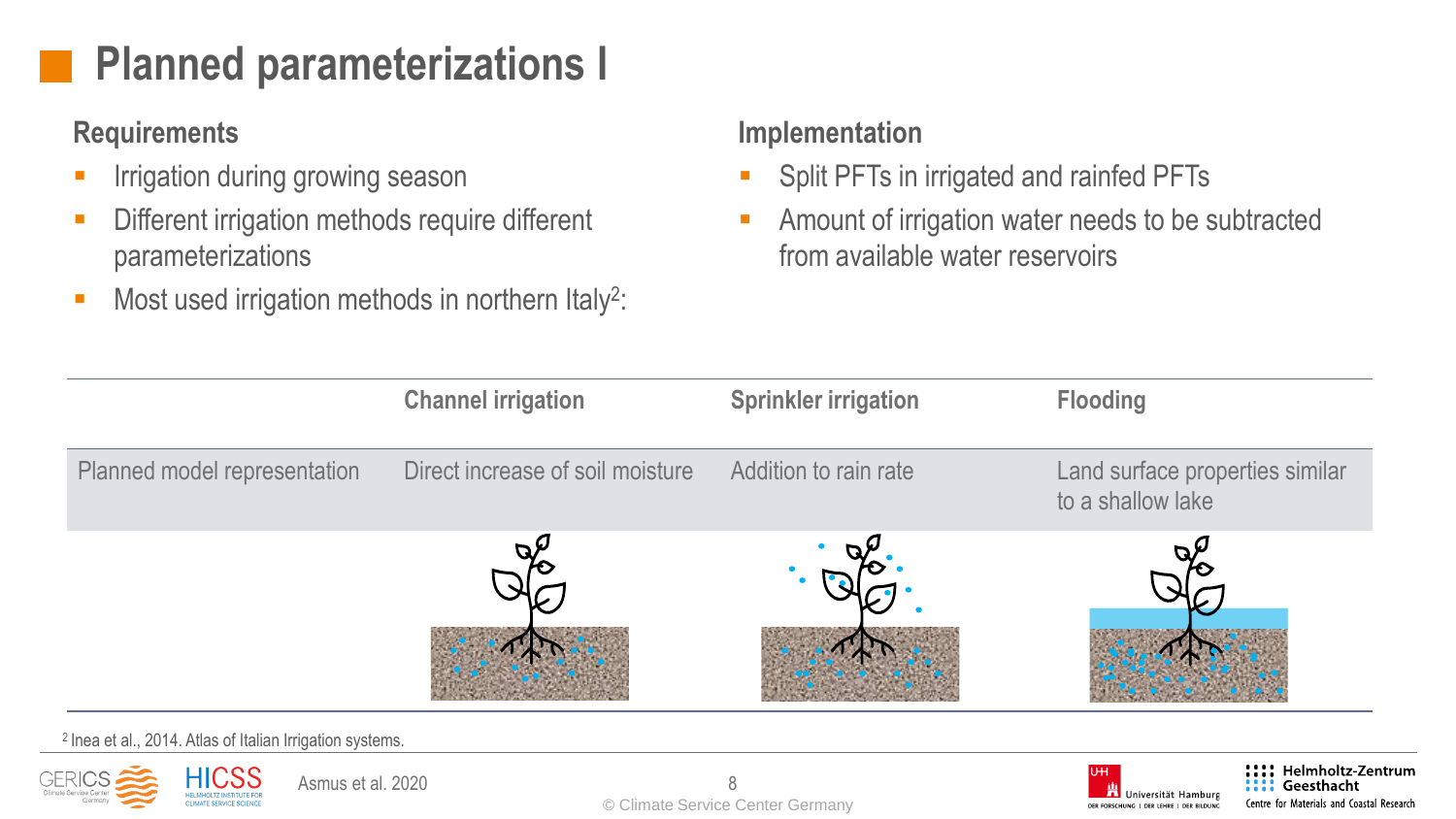# **Planned parameterizations I**

### **Requirements**

- Irrigation during growing season
- **EXECUTE:** Different irrigation methods require different parameterizations
- Most used irrigation methods in northern Italy<sup>2</sup>:

#### **Implementation**

- Split PFTs in irrigated and rainfed PFTs
- Amount of irrigation water needs to be subtracted from available water reservoirs





Geesthacht

Centre for Materials and Coastal Research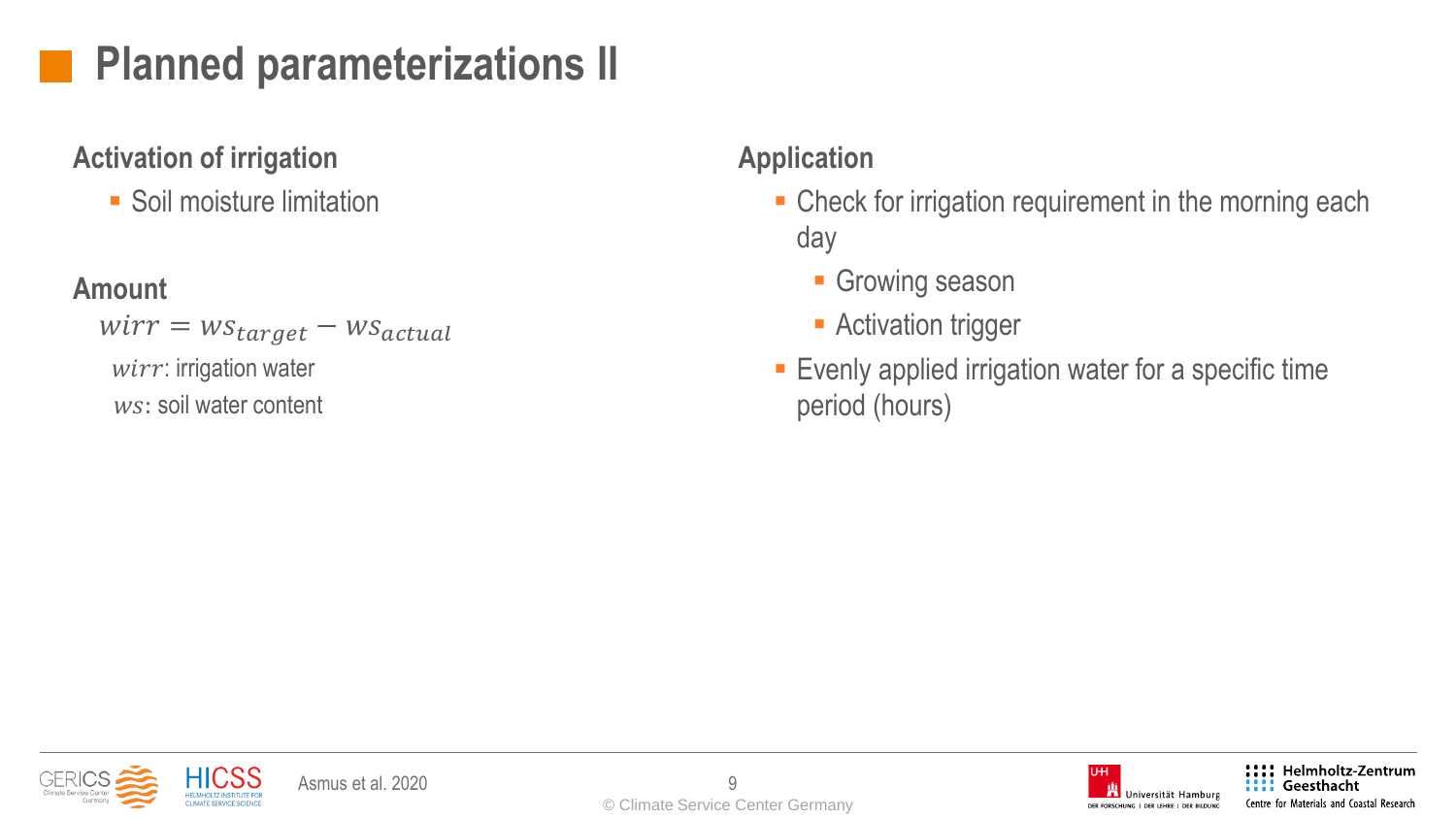# **Planned parameterizations II**

#### **Activation of irrigation**

■ Soil moisture limitation

### **Amount**

 $wirr = ws_{target} - ws_{actual}$  $wirr$ : irrigation water ws: soil water content

### **Application**

- Check for irrigation requirement in the morning each day
	- **Growing season**
	- **E** Activation trigger
- **Exenly applied irrigation water for a specific time** period (hours)